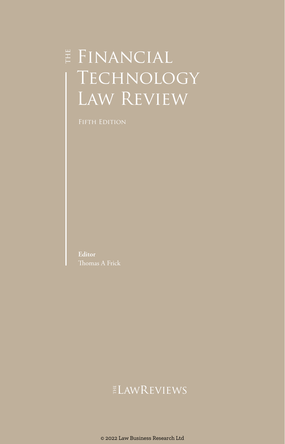# $\sharp$  FINANCIAL **TECHNOLOGY** LAW REVIEW

FIFTH EDITION

**Editor** Thomas A Frick

### ELAWREVIEWS

© 2022 Law Business Research Ltd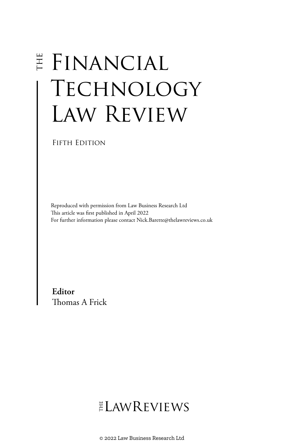# E FINANCIAL **TECHNOLOGY** Law Review

Fifth Edition

Reproduced with permission from Law Business Research Ltd This article was first published in April 2022 For further information please contact Nick.Barette@thelawreviews.co.uk

**Editor** Thomas A Frick

ELAWREVIEWS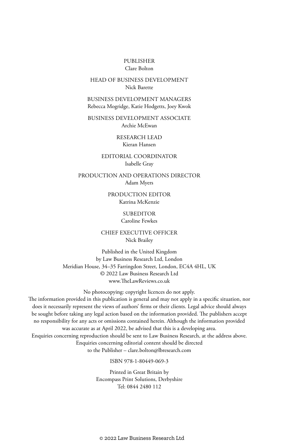### PUBLISHER Clare Bolton

### HEAD OF BUSINESS DEVELOPMENT Nick Barette

BUSINESS DEVELOPMENT MANAGERS Rebecca Mogridge, Katie Hodgetts, Joey Kwok

BUSINESS DEVELOPMENT ASSOCIATE Archie McEwan

> RESEARCH LEAD Kieran Hansen

EDITORIAL COORDINATOR Isabelle Gray

PRODUCTION AND OPERATIONS DIRECTOR Adam Myers

> PRODUCTION EDITOR Katrina McKenzie

### **SUBEDITOR**

Caroline Fewkes

CHIEF EXECUTIVE OFFICER Nick Brailey

Published in the United Kingdom by Law Business Research Ltd, London Meridian House, 34–35 Farringdon Street, London, EC4A 4HL, UK © 2022 Law Business Research Ltd www.TheLawReviews.co.uk

No photocopying: copyright licences do not apply. The information provided in this publication is general and may not apply in a specific situation, nor does it necessarily represent the views of authors' firms or their clients. Legal advice should always be sought before taking any legal action based on the information provided. The publishers accept no responsibility for any acts or omissions contained herein. Although the information provided was accurate as at April 2022, be advised that this is a developing area. Enquiries concerning reproduction should be sent to Law Business Research, at the address above. Enquiries concerning editorial content should be directed to the Publisher – clare.bolton@lbresearch.com

ISBN 978-1-80449-069-3

Printed in Great Britain by Encompass Print Solutions, Derbyshire Tel: 0844 2480 112

© 2022 Law Business Research Ltd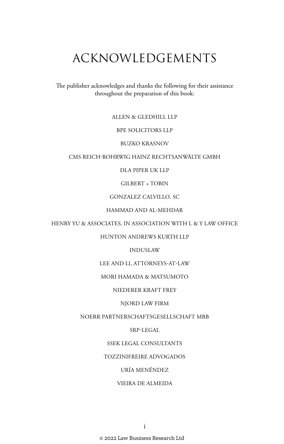# ACKNOWLEDGEMENTS

The publisher acknowledges and thanks the following for their assistance throughout the preparation of this book:

### ALLEN & GLEDHILL LLP

### BPE SOLICITORS LLP

### BUZKO KRASNOV

### CMS REICH-ROHRWIG HAINZ RECHTSANWÄLTE GMBH

### DLA PIPER UK LLP

### GILBERT + TOBIN

### GONZALEZ CALVILLO, SC

### HAMMAD AND AL-MEHDAR

### HENRY YU & ASSOCIATES, IN ASSOCIATION WITH L & Y LAW OFFICE

### HUNTON ANDREWS KURTH LLP

### INDUSLAW

### LEE AND LI, ATTORNEYS-AT-LAW

### MORI HAMADA & MATSUMOTO

### NIEDERER KRAFT FREY

### NJORD LAW FIRM

### NOERR PARTNERSCHAFTSGESELLSCHAFT MBB

### SRP-LEGAL

### SSEK LEGAL CONSULTANTS

### TOZZINIFREIRE ADVOGADOS

### URÍA MENÉNDEZ

### VIEIRA DE ALMEIDA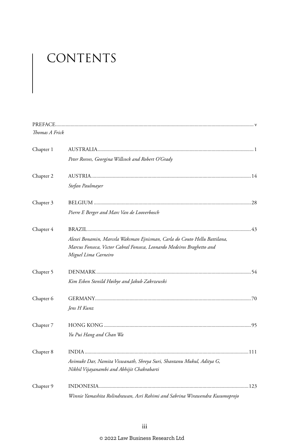# CONTENTS

| Thomas A Frick |                                                                              |  |
|----------------|------------------------------------------------------------------------------|--|
| Chapter 1      |                                                                              |  |
|                | Peter Reeves, Georgina Willcock and Robert O'Grady                           |  |
| Chapter 2      |                                                                              |  |
|                | Stefan Paulmayer                                                             |  |
| Chapter 3      |                                                                              |  |
|                | Pierre E Berger and Marc Van de Looverbosch                                  |  |
| Chapter 4      |                                                                              |  |
|                | Alexei Bonamin, Marcela Waksman Ejnisman, Carla do Couto Hellu Battilana,    |  |
|                | Marcus Fonseca, Victor Cabral Fonseca, Leonardo Medeiros Braghetto and       |  |
|                | Miguel Lima Carneiro                                                         |  |
| Chapter 5      |                                                                              |  |
|                | Kim Esben Stenild Høibye and Jakub Zakrzewski                                |  |
| Chapter 6      |                                                                              |  |
|                | Jens H Kunz                                                                  |  |
| Chapter 7      |                                                                              |  |
|                | Yu Pui Hang and Chan Wa                                                      |  |
| Chapter 8      |                                                                              |  |
|                | Avimukt Dar, Namita Viswanath, Shreya Suri, Shantanu Mukul, Aditya G,        |  |
|                | Nikhil Vijayanambi and Abhijit Chakrabarti                                   |  |
| Chapter 9      |                                                                              |  |
|                | Winnie Yamashita Rolindrawan. Asri Rahimi and Sabrina Wirawendra Kusumoprojo |  |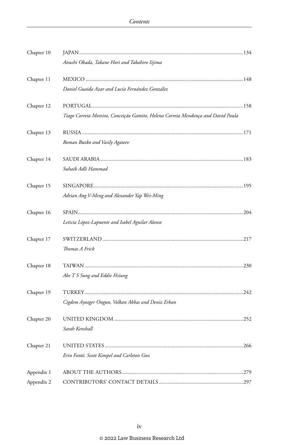| Chapter 10 |                                                                                  |  |
|------------|----------------------------------------------------------------------------------|--|
|            | Atsushi Okada, Takane Hori and Takahiro Iijima                                   |  |
| Chapter 11 |                                                                                  |  |
|            | Daniel Guaida Azar and Lucía Fernández González                                  |  |
| Chapter 12 |                                                                                  |  |
|            | Tiago Correia Moreira, Conceição Gamito, Helena Correia Mendonça and David Paula |  |
| Chapter 13 |                                                                                  |  |
|            | Roman Buzko and Vasily Agateev                                                   |  |
| Chapter 14 |                                                                                  |  |
|            | Suhaib Adli Hammad                                                               |  |
| Chapter 15 |                                                                                  |  |
|            | Adrian Ang V-Meng and Alexander Yap Wei-Ming                                     |  |
| Chapter 16 |                                                                                  |  |
|            | Leticia López-Lapuente and Isabel Aguilar Alonso                                 |  |
| Chapter 17 |                                                                                  |  |
|            | Thomas A Frick                                                                   |  |
| Chapter 18 |                                                                                  |  |
|            | Abe T S Sung and Eddie Hsiung                                                    |  |
| Chapter 19 |                                                                                  |  |
|            | Cigdem Ayozger Ongun, Volkan Akbas and Deniz Erkan                               |  |
| Chapter 20 |                                                                                  |  |
|            | Sarah Kenshall                                                                   |  |
| Chapter 21 |                                                                                  |  |
|            | Erin Fonté, Scott Kimpel and Carleton Goss                                       |  |
| Appendix 1 |                                                                                  |  |
| Appendix 2 |                                                                                  |  |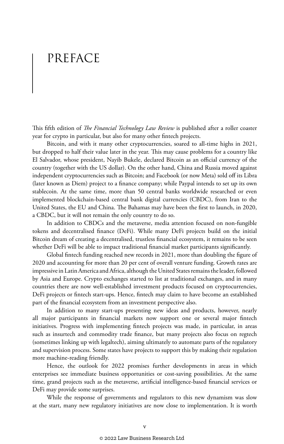# PREFACE

This fifth edition of *The Financial Technology Law Review* is published after a roller coaster year for crypto in particular, but also for many other fintech projects.

Bitcoin, and with it many other cryptocurrencies, soared to all-time highs in 2021, but dropped to half their value later in the year. This may cause problems for a country like El Salvador, whose president, Nayib Bukele, declared Bitcoin as an official currency of the country (together with the US dollar). On the other hand, China and Russia moved against independent cryptocurrencies such as Bitcoin; and Facebook (or now Meta) sold off its Libra (later known as Diem) project to a finance company; while Paypal intends to set up its own stablecoin. At the same time, more than 50 central banks worldwide researched or even implemented blockchain-based central bank digital currencies (CBDC), from Iran to the United States, the EU and China. The Bahamas may have been the first to launch, in 2020, a CBDC, but it will not remain the only country to do so.

In addition to CBDCs and the metaverse, media attention focused on non-fungible tokens and decentralised finance (DeFi). While many DeFi projects build on the initial Bitcoin dream of creating a decentralised, trustless financial ecosystem, it remains to be seen whether DeFi will be able to impact traditional financial market participants significantly.

Global fintech funding reached new records in 2021, more than doubling the figure of 2020 and accounting for more than 20 per cent of overall venture funding. Growth rates are impressive in Latin America and Africa, although the United States remains the leader, followed by Asia and Europe. Crypto exchanges started to list at traditional exchanges, and in many countries there are now well-established investment products focused on cryptocurrencies, DeFi projects or fintech start-ups. Hence, fintech may claim to have become an established part of the financial ecosystem from an investment perspective also.

In addition to many start-ups presenting new ideas and products, however, nearly all major participants in financial markets now support one or several major fintech initiatives. Progress with implementing fintech projects was made, in particular, in areas such as insurtech and commodity trade finance, but many projects also focus on regtech (sometimes linking up with legaltech), aiming ultimately to automate parts of the regulatory and supervision process. Some states have projects to support this by making their regulation more machine-reading friendly.

Hence, the outlook for 2022 promises further developments in areas in which enterprises see immediate business opportunities or cost-saving possibilities. At the same time, grand projects such as the metaverse, artificial intelligence-based financial services or DeFi may provide some surprises.

While the response of governments and regulators to this new dynamism was slow at the start, many new regulatory initiatives are now close to implementation. It is worth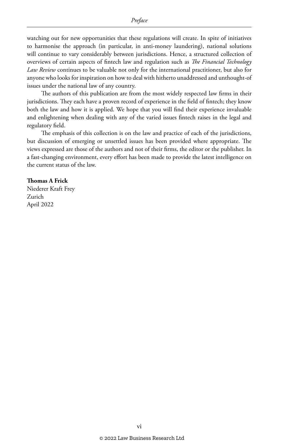watching out for new opportunities that these regulations will create. In spite of initiatives to harmonise the approach (in particular, in anti-money laundering), national solutions will continue to vary considerably between jurisdictions. Hence, a structured collection of overviews of certain aspects of fintech law and regulation such as *The Financial Technology Law Review* continues to be valuable not only for the international practitioner, but also for anyone who looks for inspiration on how to deal with hitherto unaddressed and unthought-of issues under the national law of any country.

The authors of this publication are from the most widely respected law firms in their jurisdictions. They each have a proven record of experience in the field of fintech; they know both the law and how it is applied. We hope that you will find their experience invaluable and enlightening when dealing with any of the varied issues fintech raises in the legal and regulatory field.

The emphasis of this collection is on the law and practice of each of the jurisdictions, but discussion of emerging or unsettled issues has been provided where appropriate. The views expressed are those of the authors and not of their firms, the editor or the publisher. In a fast-changing environment, every effort has been made to provide the latest intelligence on the current status of the law.

### **Thomas A Frick**

Niederer Kraft Frey Zurich April 2022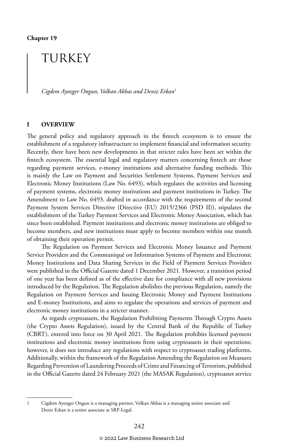### TURKEY

*Cigdem Ayozger Ongun, Volkan Akbas and Deniz Erkan*<sup>1</sup>

### **I OVERVIEW**

The general policy and regulatory approach in the fintech ecosystem is to ensure the establishment of a regulatory infrastructure to implement financial and information security. Recently, there have been new developments in that stricter rules have been set within the fintech ecosystem. The essential legal and regulatory matters concerning fintech are those regarding payment services, e-money institutions and alternative funding methods. This is mainly the Law on Payment and Securities Settlement Systems, Payment Services and Electronic Money Institutions (Law No. 6493), which regulates the activities and licensing of payment systems, electronic money institutions and payment institutions in Turkey. The Amendment to Law No. 6493, drafted in accordance with the requirements of the second Payment System Services Directive (Directive (EU) 2015/2366 (PSD II)), stipulates the establishment of the Turkey Payment Services and Electronic Money Association, which has since been established. Payment institutions and electronic money institutions are obliged to become members, and new institutions must apply to become members within one month of obtaining their operation permit.

The Regulation on Payment Services and Electronic Money Issuance and Payment Service Providers and the Communiqué on Information Systems of Payment and Electronic Money Institutions and Data Sharing Services in the Field of Payment Services Providers were published in the Official Gazette dated 1 December 2021. However, a transition period of one year has been defined as of the effective date for compliance with all new provisions introduced by the Regulation. The Regulation abolishes the previous Regulation, namely the Regulation on Payment Services and Issuing Electronic Money and Payment Institutions and E-money Institutions, and aims to regulate the operations and services of payment and electronic money institutions in a stricter manner.

As regards cryptoassets, the Regulation Prohibiting Payments Through Crypto Assets (the Crypto Assets Regulation), issued by the Central Bank of the Republic of Turkey (CBRT), entered into force on 30 April 2021. The Regulation prohibits licensed payment institutions and electronic money institutions from using cryptoassets in their operations; however, it does not introduce any regulations with respect to cryptoasset trading platforms. Additionally, within the framework of the Regulation Amending the Regulation on Measures Regarding Prevention of Laundering Proceeds of Crime and Financing of Terrorism, published in the Official Gazette dated 24 February 2021 (the MASAK Regulation), cryptoasset service

<sup>1</sup> Cigdem Ayozger Ongun is a managing partner, Volkan Akbas is a managing senior associate and Deniz Erkan is a senior associate at SRP-Legal.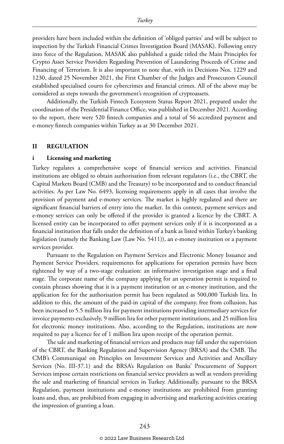providers have been included within the definition of 'obliged parties' and will be subject to inspection by the Turkish Financial Crimes Investigation Board (MASAK). Following entry into force of the Regulation, MASAK also published a guide titled the Main Principles for Crypto Asset Service Providers Regarding Prevention of Laundering Proceeds of Crime and Financing of Terrorism. It is also important to note that, with its Decisions Nos. 1229 and 1230, dated 25 November 2021, the First Chamber of the Judges and Prosecutors Council established specialised courts for cybercrimes and financial crimes. All of the above may be considered as steps towards the government's recognition of cryptoassets.

Additionally, the Turkish Fintech Ecosystem Status Report 2021, prepared under the coordination of the Presidential Finance Office, was published in December 2021. According to the report, there were 520 fintech companies and a total of 56 accredited payment and e-money fintech companies within Turkey as at 30 December 2021.

### **II REGULATION**

### **i Licensing and marketing**

Turkey regulates a comprehensive scope of financial services and activities. Financial institutions are obliged to obtain authorisation from relevant regulators (i.e., the CBRT, the Capital Markets Board (CMB) and the Treasury) to be incorporated and to conduct financial activities. As per Law No. 6493, licensing requirements apply in all cases that involve the provision of payment and e-money services. The market is highly regulated and there are significant financial barriers of entry into the market. In this context, payment services and e-money services can only be offered if the provider is granted a licence by the CBRT. A licensed entity can be incorporated to offer payment services only if it is incorporated as a financial institution that falls under the definition of a bank as listed within Turkey's banking legislation (namely the Banking Law (Law No. 5411)), an e-money institution or a payment services provider.

Pursuant to the Regulation on Payment Services and Electronic Money Issuance and Payment Service Providers, requirements for applications for operation permits have been tightened by way of a two-stage evaluation: an informative investigation stage and a final stage. The corporate name of the company applying for an operation permit is required to contain phrases showing that it is a payment institution or an e-money institution, and the application fee for the authorisation permit has been regulated as 500,000 Turkish lira. In addition to this, the amount of the paid-in capital of the company, free from collusion, has been increased to 5.5 million lira for payment institutions providing intermediary services for invoice payments exclusively, 9 million lira for other payment institutions, and 25 million lira for electronic money institutions. Also, according to the Regulation, institutions are now required to pay a licence fee of 1 million lira upon receipt of the operation permit.

The sale and marketing of financial services and products may fall under the supervision of the CBRT, the Banking Regulation and Supervision Agency (BRSA) and the CMB. The CMB's Communiqué on Principles on Investment Services and Activities and Ancillary Services (No. III-37.1) and the BRSA's Regulation on Banks' Procurement of Support Services impose certain restrictions on financial service providers as well as vendors providing the sale and marketing of financial services in Turkey. Additionally, pursuant to the BRSA Regulation, payment institutions and e-money institutions are prohibited from granting loans and, thus, are prohibited from engaging in advertising and marketing activities creating the impression of granting a loan.

### © 2022 Law Business Research Ltd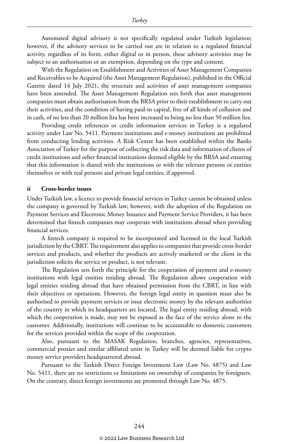Automated digital advisory is not specifically regulated under Turkish legislation; however, if the advisory services to be carried out are in relation to a regulated financial activity, regardless of its form, either digital or in person, these advisory activities may be subject to an authorisation or an exemption, depending on the type and content.

With the Regulation on Establishment and Activities of Asset Management Companies and Receivables to be Acquired (the Asset Management Regulation), published in the Official Gazette dated 14 July 2021, the structure and activities of asset management companies have been amended. The Asset Management Regulation sets forth that asset management companies must obtain authorisation from the BRSA prior to their establishment to carry out their activities, and the condition of having paid-in capital, free of all kinds of collusion and in cash, of no less than 20 million lira has been increased to being no less than 50 million lira.

Providing credit references or credit information services in Turkey is a regulated activity under Law No. 5411. Payment institutions and e-money institutions are prohibited from conducting lending activities. A Risk Centre has been established within the Banks Association of Turkey for the purpose of collecting the risk data and information of clients of credit institutions and other financial institutions deemed eligible by the BRSA and ensuring that this information is shared with the institutions or with the relevant persons or entities themselves or with real persons and private legal entities, if approved.

### **ii Cross-border issues**

Under Turkish law, a licence to provide financial services in Turkey cannot be obtained unless the company is governed by Turkish law; however, with the adoption of the Regulation on Payment Services and Electronic Money Issuance and Payment Service Providers, it has been determined that fintech companies may cooperate with institutions abroad when providing financial services.

A fintech company is required to be incorporated and licensed in the local Turkish jurisdiction by the CBRT. The requirement also applies to companies that provide cross-border services and products, and whether the products are actively marketed or the client in the jurisdiction solicits the service or product, is not relevant.

The Regulation sets forth the principle for the cooperation of payment and e-money institutions with legal entities residing abroad. The Regulation allows cooperation with legal entities residing abroad that have obtained permission from the CBRT, in line with their objectives or operations. However, the foreign legal entity in question must also be authorised to provide payment services or issue electronic money by the relevant authorities of the country in which its headquarters are located. The legal entity residing abroad, with which the cooperation is made, may not be exposed as the face of the service alone to the customer. Additionally, institutions will continue to be accountable to domestic customers for the services provided within the scope of the cooperation.

Also, pursuant to the MASAK Regulation, branches, agencies, representatives, commercial proxies and similar affiliated units in Turkey will be deemed liable for crypto money service providers headquartered abroad.

Pursuant to the Turkish Direct Foreign Investment Law (Law No. 4875) and Law No. 5411, there are no restrictions or limitations on ownership of companies by foreigners. On the contrary, direct foreign investments are promoted through Law No. 4875.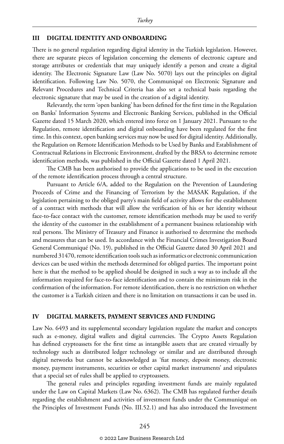### **III DIGITAL IDENTITY AND ONBOARDING**

There is no general regulation regarding digital identity in the Turkish legislation. However, there are separate pieces of legislation concerning the elements of electronic capture and storage attributes or credentials that may uniquely identify a person and create a digital identity. The Electronic Signature Law (Law No. 5070) lays out the principles on digital identification. Following Law No. 5070, the Communiqué on Electronic Signature and Relevant Procedures and Technical Criteria has also set a technical basis regarding the electronic signature that may be used in the creation of a digital identity.

Relevantly, the term 'open banking' has been defined for the first time in the Regulation on Banks' Information Systems and Electronic Banking Services, published in the Official Gazette dated 15 March 2020, which entered into force on 1 January 2021. Pursuant to the Regulation, remote identification and digital onboarding have been regulated for the first time. In this context, open banking services may now be used for digital identity. Additionally, the Regulation on Remote Identification Methods to be Used by Banks and Establishment of Contractual Relations in Electronic Environment, drafted by the BRSA to determine remote identification methods, was published in the Official Gazette dated 1 April 2021.

The CMB has been authorised to provide the applications to be used in the execution of the remote identification process through a central structure.

Pursuant to Article 6/A, added to the Regulation on the Prevention of Laundering Proceeds of Crime and the Financing of Terrorism by the MASAK Regulation, if the legislation pertaining to the obliged party's main field of activity allows for the establishment of a contract with methods that will allow the verification of his or her identity without face-to-face contact with the customer, remote identification methods may be used to verify the identity of the customer in the establishment of a permanent business relationship with real persons. The Ministry of Treasury and Finance is authorised to determine the methods and measures that can be used. In accordance with the Financial Crimes Investigation Board General Communiqué (No. 19), published in the Official Gazette dated 30 April 2021 and numbered 31470, remote identification tools such as informatics or electronic communication devices can be used within the methods determined for obliged parties. The important point here is that the method to be applied should be designed in such a way as to include all the information required for face-to-face identification and to contain the minimum risk in the confirmation of the information. For remote identification, there is no restriction on whether the customer is a Turkish citizen and there is no limitation on transactions it can be used in.

### **IV DIGITAL MARKETS, PAYMENT SERVICES AND FUNDING**

Law No. 6493 and its supplemental secondary legislation regulate the market and concepts such as e-money, digital wallets and digital currencies. The Crypto Assets Regulation has defined cryptoassets for the first time as intangible assets that are created virtually by technology such as distributed ledger technology or similar and are distributed through digital networks but cannot be acknowledged as 'fiat money, deposit money, electronic money, payment instruments, securities or other capital market instruments' and stipulates that a special set of rules shall be applied to cryptoassets.

The general rules and principles regarding investment funds are mainly regulated under the Law on Capital Markets (Law No. 6362). The CMB has regulated further details regarding the establishment and activities of investment funds under the Communiqué on the Principles of Investment Funds (No. III.52.1) and has also introduced the Investment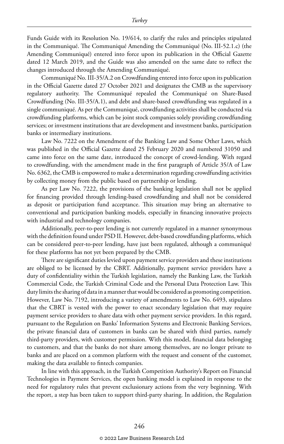Funds Guide with its Resolution No. 19/614, to clarify the rules and principles stipulated in the Communiqué. The Communiqué Amending the Communiqué (No. III-52.1.c) (the Amending Communiqué) entered into force upon its publication in the Official Gazette dated 12 March 2019, and the Guide was also amended on the same date to reflect the changes introduced through the Amending Communiqué.

Communiqué No. III-35/A.2 on Crowdfunding entered into force upon its publication in the Official Gazette dated 27 October 2021 and designates the CMB as the supervisory regulatory authority. The Communiqué repealed the Communiqué on Share-Based Crowdfunding (No. III-35/A.1), and debt and share-based crowdfunding was regulated in a single communiqué. As per the Communiqué, crowdfunding activities shall be conducted via crowdfunding platforms, which can be joint stock companies solely providing crowdfunding services; or investment institutions that are development and investment banks, participation banks or intermediary institutions.

Law No. 7222 on the Amendment of the Banking Law and Some Other Laws, which was published in the Official Gazette dated 25 February 2020 and numbered 31050 and came into force on the same date, introduced the concept of crowd-lending. With regard to crowdfunding, with the amendment made in the first paragraph of Article 35/A of Law No. 6362, the CMB is empowered to make a determination regarding crowdfunding activities by collecting money from the public based on partnership or lending.

As per Law No. 7222, the provisions of the banking legislation shall not be applied for financing provided through lending-based crowdfunding and shall not be considered as deposit or participation fund acceptance. This situation may bring an alternative to conventional and participation banking models, especially in financing innovative projects with industrial and technology companies.

Additionally, peer-to-peer lending is not currently regulated in a manner synonymous with the definition found under PSD II. However, debt-based crowdfunding platforms, which can be considered peer-to-peer lending, have just been regulated, although a communiqué for these platforms has not yet been prepared by the CMB.

There are significant duties levied upon payment service providers and these institutions are obliged to be licensed by the CBRT. Additionally, payment service providers have a duty of confidentiality within the Turkish legislation, namely the Banking Law, the Turkish Commercial Code, the Turkish Criminal Code and the Personal Data Protection Law. This duty limits the sharing of data in a manner that would be considered as promoting competition. However, Law No. 7192, introducing a variety of amendments to Law No. 6493, stipulates that the CBRT is vested with the power to enact secondary legislation that may require payment service providers to share data with other payment service providers. In this regard, pursuant to the Regulation on Banks' Information Systems and Electronic Banking Services, the private financial data of customers in banks can be shared with third parties, namely third-party providers, with customer permission. With this model, financial data belonging to customers, and that the banks do not share among themselves, are no longer private to banks and are placed on a common platform with the request and consent of the customer, making the data available to fintech companies.

In line with this approach, in the Turkish Competition Authority's Report on Financial Technologies in Payment Services, the open banking model is explained in response to the need for regulatory rules that prevent exclusionary actions from the very beginning. With the report, a step has been taken to support third-party sharing. In addition, the Regulation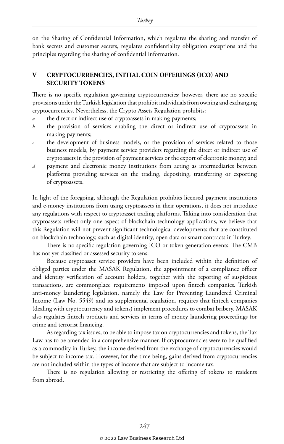on the Sharing of Confidential Information, which regulates the sharing and transfer of bank secrets and customer secrets, regulates confidentiality obligation exceptions and the principles regarding the sharing of confidential information.

### **V CRYPTOCURRENCIES, INITIAL COIN OFFERINGS (ICO) AND SECURITY TOKENS**

There is no specific regulation governing cryptocurrencies; however, there are no specific provisions under the Turkish legislation that prohibit individuals from owning and exchanging cryptocurrencies. Nevertheless, the Crypto Assets Regulation prohibits:

- *a* the direct or indirect use of cryptoassets in making payments;
- *b* the provision of services enabling the direct or indirect use of cryptoassets in making payments;
- *c* the development of business models, or the provision of services related to those business models, by payment service providers regarding the direct or indirect use of cryptoassets in the provision of payment services or the export of electronic money; and
- *d* payment and electronic money institutions from acting as intermediaries between platforms providing services on the trading, depositing, transferring or exporting of cryptoassets.

In light of the foregoing, although the Regulation prohibits licensed payment institutions and e-money institutions from using cryptoassets in their operations, it does not introduce any regulations with respect to cryptoasset trading platforms. Taking into consideration that cryptoassets reflect only one aspect of blockchain technology applications, we believe that this Regulation will not prevent significant technological developments that are constituted on blockchain technology, such as digital identity, open data or smart contracts in Turkey.

There is no specific regulation governing ICO or token generation events. The CMB has not yet classified or assessed security tokens.

Because cryptoasset service providers have been included within the definition of obliged parties under the MASAK Regulation, the appointment of a compliance officer and identity verification of account holders, together with the reporting of suspicious transactions, are commonplace requirements imposed upon fintech companies. Turkish anti-money laundering legislation, namely the Law for Preventing Laundered Criminal Income (Law No. 5549) and its supplemental regulation, requires that fintech companies (dealing with cryptocurrency and tokens) implement procedures to combat bribery. MASAK also regulates fintech products and services in terms of money laundering proceedings for crime and terrorist financing.

As regarding tax issues, to be able to impose tax on cryptocurrencies and tokens, the Tax Law has to be amended in a comprehensive manner. If cryptocurrencies were to be qualified as a commodity in Turkey, the income derived from the exchange of cryptocurrencies would be subject to income tax. However, for the time being, gains derived from cryptocurrencies are not included within the types of income that are subject to income tax.

There is no regulation allowing or restricting the offering of tokens to residents from abroad.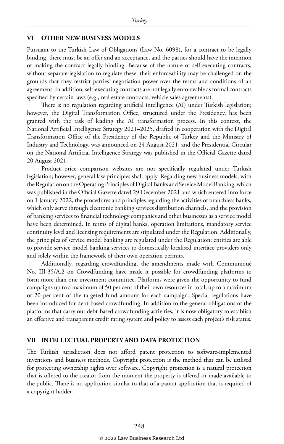### **VI OTHER NEW BUSINESS MODELS**

Pursuant to the Turkish Law of Obligations (Law No. 6098), for a contract to be legally binding, there must be an offer and an acceptance, and the parties should have the intention of making the contract legally binding. Because of the nature of self-executing contracts, without separate legislation to regulate these, their enforceability may be challenged on the grounds that they restrict parties' negotiation power over the terms and conditions of an agreement. In addition, self-executing contracts are not legally enforceable as formal contracts specified by certain laws (e.g., real estate contracts, vehicle sales agreements).

There is no regulation regarding artificial intelligence (AI) under Turkish legislation; however, the Digital Transformation Office, structured under the Presidency, has been granted with the task of leading the AI transformation process. In this context, the National Artificial Intelligence Strategy 2021–2025, drafted in cooperation with the Digital Transformation Office of the Presidency of the Republic of Turkey and the Ministry of Industry and Technology, was announced on 24 August 2021, and the Presidential Circular on the National Artificial Intelligence Strategy was published in the Official Gazette dated 20 August 2021.

Product price comparison websites are not specifically regulated under Turkish legislation; however, general law principles shall apply. Regarding new business models, with the Regulation on the Operating Principles of Digital Banks and Service Model Banking, which was published in the Official Gazette dated 29 December 2021 and which entered into force on 1 January 2022, the procedures and principles regarding the activities of branchless banks, which only serve through electronic banking services distribution channels, and the provision of banking services to financial technology companies and other businesses as a service model have been determined. In terms of digital banks, operation limitations, mandatory service continuity level and licensing requirements are stipulated under the Regulation. Additionally, the principles of service model banking are regulated under the Regulation; entities are able to provide service model banking services to domestically localised interface providers only and solely within the framework of their own operation permits.

Additionally, regarding crowdfunding, the amendments made with Communiqué No. III-35/A.2 on Crowdfunding have made it possible for crowdfunding platforms to form more than one investment committee. Platforms were given the opportunity to fund campaigns up to a maximum of 50 per cent of their own resources in total, up to a maximum of 20 per cent of the targeted fund amount for each campaign. Special regulations have been introduced for debt-based crowdfunding. In addition to the general obligations of the platforms that carry out debt-based crowdfunding activities, it is now obligatory to establish an effective and transparent credit rating system and policy to assess each project's risk status.

### **VII INTELLECTUAL PROPERTY AND DATA PROTECTION**

The Turkish jurisdiction does not afford patent protection to software-implemented inventions and business methods. Copyright protection is the method that can be utilised for protecting ownership rights over software. Copyright protection is a natural protection that is offered to the creator from the moment the property is offered or made available to the public. There is no application similar to that of a patent application that is required of a copyright holder.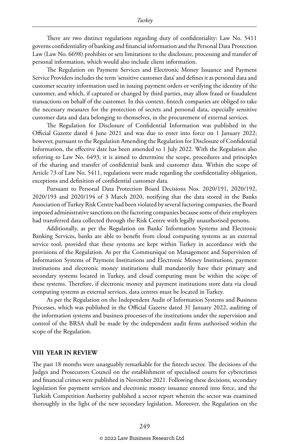There are two distinct regulations regarding duty of confidentiality: Law No. 5411 governs confidentiality of banking and financial information and the Personal Data Protection Law (Law No. 6698) prohibits or sets limitations to the disclosure, processing and transfer of personal information, which would also include client information.

The Regulation on Payment Services and Electronic Money Issuance and Payment Service Providers includes the term 'sensitive customer data' and defines it as personal data and customer security information used in issuing payment orders or verifying the identity of the customer, and which, if captured or changed by third parties, may allow fraud or fraudulent transactions on behalf of the customer. In this context, fintech companies are obliged to take the necessary measures for the protection of secrets and personal data, especially sensitive customer data and data belonging to themselves, in the procurement of external services.

The Regulation for Disclosure of Confidential Information was published in the Official Gazette dated 4 June 2021 and was due to enter into force on 1 January 2022; however, pursuant to the Regulation Amending the Regulation for Disclosure of Confidential Information, the effective date has been amended to 1 July 2022. With the Regulation also referring to Law No. 6493, it is aimed to determine the scope, procedures and principles of the sharing and transfer of confidential bank and customer data. Within the scope of Article 73 of Law No. 5411, regulations were made regarding the confidentiality obligation, exceptions and definition of confidential customer data.

Pursuant to Personal Data Protection Board Decisions Nos. 2020/191, 2020/192, 2020/193 and 2020/194 of 3 March 2020, notifying that the data stored in the Banks Association of Turkey Risk Centre had been violated by several factoring companies, the Board imposed administrative sanctions on the factoring companies because some of their employees had transferred data collected through the Risk Centre with legally unauthorised persons.

Additionally, as per the Regulation on Banks' Information Systems and Electronic Banking Services, banks are able to benefit from cloud computing systems as an external service tool, provided that these systems are kept within Turkey in accordance with the provisions of the Regulation. As per the Communiqué on Management and Supervision of Information Systems of Payment Institutions and Electronic Money Institutions, payment institutions and electronic money institutions shall mandatorily have their primary and secondary systems located in Turkey, and cloud computing must be within the scope of these systems. Therefore, if electronic money and payment institutions store data via cloud computing systems as external services, data centres must be located in Turkey.

As per the Regulation on the Independent Audit of Information Systems and Business Processes, which was published in the Official Gazette dated 31 January 2022, auditing of the information systems and business processes of the institutions under the supervision and control of the BRSA shall be made by the independent audit firms authorised within the scope of the Regulation.

### **VIII YEAR IN REVIEW**

The past 18 months were unarguably remarkable for the fintech sector. The decisions of the Judges and Prosecutors Council on the establishment of specialised courts for cybercrimes and financial crimes were published in November 2021. Following these decisions, secondary legislation for payment services and electronic money issuance entered into force, and the Turkish Competition Authority published a sector report wherein the sector was examined thoroughly in the light of the new secondary legislation. Moreover, the Regulation on the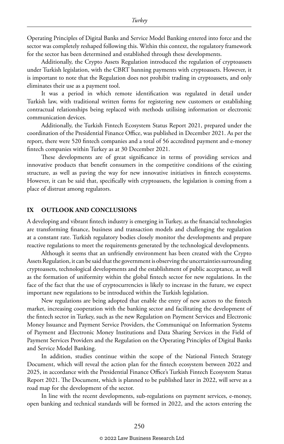Operating Principles of Digital Banks and Service Model Banking entered into force and the sector was completely reshaped following this. Within this context, the regulatory framework for the sector has been determined and established through these developments.

Additionally, the Crypto Assets Regulation introduced the regulation of cryptoassets under Turkish legislation, with the CBRT banning payments with cryptoassets. However, it is important to note that the Regulation does not prohibit trading in cryptoassets, and only eliminates their use as a payment tool.

It was a period in which remote identification was regulated in detail under Turkish law, with traditional written forms for registering new customers or establishing contractual relationships being replaced with methods utilising information or electronic communication devices.

Additionally, the Turkish Fintech Ecosystem Status Report 2021, prepared under the coordination of the Presidential Finance Office, was published in December 2021. As per the report, there were 520 fintech companies and a total of 56 accredited payment and e-money fintech companies within Turkey as at 30 December 2021.

These developments are of great significance in terms of providing services and innovative products that benefit consumers in the competitive conditions of the existing structure, as well as paving the way for new innovative initiatives in fintech ecosystems. However, it can be said that, specifically with cryptoassets, the legislation is coming from a place of distrust among regulators.

### **IX OUTLOOK AND CONCLUSIONS**

A developing and vibrant fintech industry is emerging in Turkey, as the financial technologies are transforming finance, business and transaction models and challenging the regulation at a constant rate. Turkish regulatory bodies closely monitor the developments and prepare reactive regulations to meet the requirements generated by the technological developments.

Although it seems that an unfriendly environment has been created with the Crypto Assets Regulation, it can be said that the government is observing the uncertainties surrounding cryptoassets, technological developments and the establishment of public acceptance, as well as the formation of uniformity within the global fintech sector for new regulations. In the face of the fact that the use of cryptocurrencies is likely to increase in the future, we expect important new regulations to be introduced within the Turkish legislation.

New regulations are being adopted that enable the entry of new actors to the fintech market, increasing cooperation with the banking sector and facilitating the development of the fintech sector in Turkey, such as the new Regulation on Payment Services and Electronic Money Issuance and Payment Service Providers, the Communiqué on Information Systems of Payment and Electronic Money Institutions and Data Sharing Services in the Field of Payment Services Providers and the Regulation on the Operating Principles of Digital Banks and Service Model Banking.

In addition, studies continue within the scope of the National Fintech Strategy Document, which will reveal the action plan for the fintech ecosystem between 2022 and 2025, in accordance with the Presidential Finance Office's Turkish Fintech Ecosystem Status Report 2021. The Document, which is planned to be published later in 2022, will serve as a road map for the development of the sector.

In line with the recent developments, sub-regulations on payment services, e-money, open banking and technical standards will be formed in 2022, and the actors entering the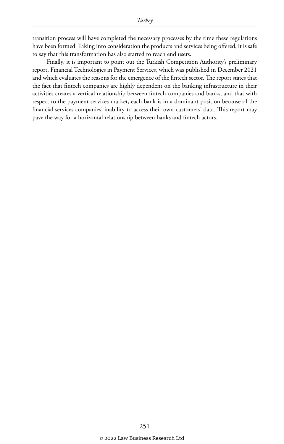transition process will have completed the necessary processes by the time these regulations have been formed. Taking into consideration the products and services being offered, it is safe to say that this transformation has also started to reach end users.

Finally, it is important to point out the Turkish Competition Authority's preliminary report, Financial Technologies in Payment Services, which was published in December 2021 and which evaluates the reasons for the emergence of the fintech sector. The report states that the fact that fintech companies are highly dependent on the banking infrastructure in their activities creates a vertical relationship between fintech companies and banks, and that with respect to the payment services market, each bank is in a dominant position because of the financial services companies' inability to access their own customers' data. This report may pave the way for a horizontal relationship between banks and fintech actors.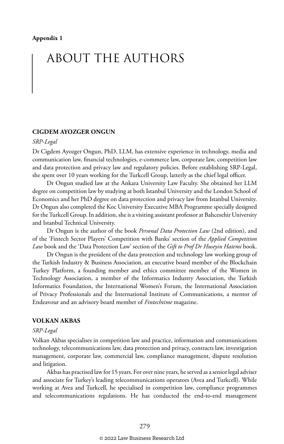## ABOUT THE AUTHORS

### **CIGDEM AYOZGER ONGUN**

### *SRP-Legal*

Dr Cigdem Ayozger Ongun, PhD, LLM, has extensive experience in technology, media and communication law, financial technologies, e-commerce law, corporate law, competition law and data protection and privacy law and regulatory policies. Before establishing SRP-Legal, she spent over 10 years working for the Turkcell Group, latterly as the chief legal officer.

Dr Ongun studied law at the Ankara University Law Faculty. She obtained her LLM degree on competition law by studying at both Istanbul University and the London School of Economics and her PhD degree on data protection and privacy law from Istanbul University. Dr Ongun also completed the Koc University Executive MBA Programme specially designed for the Turkcell Group. In addition, she is a visiting assistant professor at Bahcesehir University and Istanbul Technical University.

Dr Ongun is the author of the book *Personal Data Protection Law* (2nd edition), and of the 'Fintech Sector Players' Competition with Banks' section of the *Applied Competition Law* book and the 'Data Protection Law' section of the *Gift to Prof Dr Huseyin Hatemi* book.

Dr Ongun is the president of the data protection and technology law working group of the Turkish Industry & Business Association, an executive board member of the Blockchain Turkey Platform, a founding member and ethics committee member of the Women in Technology Association, a member of the Informatics Industry Association, the Turkish Informatics Foundation, the International Women's Forum, the International Association of Privacy Professionals and the International Institute of Communications, a mentor of Endeavour and an advisory board member of *Fintechtime* magazine.

### **VOLKAN AKBAS**

### *SRP-Legal*

Volkan Akbas specialises in competition law and practice, information and communications technology, telecommunications law, data protection and privacy, contracts law, investigation management, corporate law, commercial law, compliance management, dispute resolution and litigation.

Akbas has practised law for 15 years. For over nine years, he served as a senior legal adviser and associate for Turkey's leading telecommunications operators (Avea and Turkcell). While working at Avea and Turkcell, he specialised in competition law, compliance programmes and telecommunications regulations. He has conducted the end-to-end management